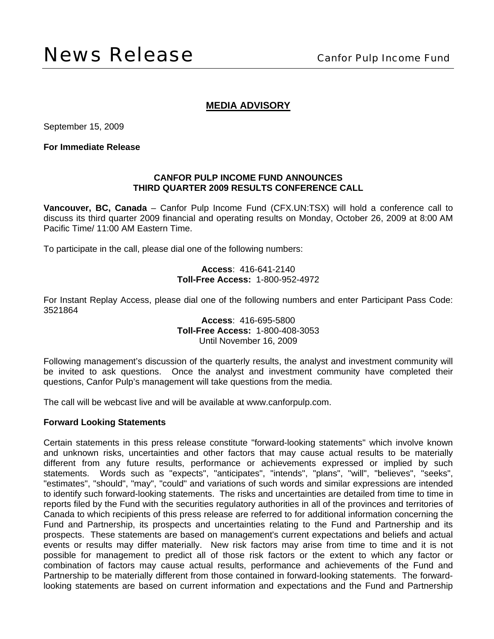# **MEDIA ADVISORY**

September 15, 2009

**For Immediate Release** 

#### **CANFOR PULP INCOME FUND ANNOUNCES THIRD QUARTER 2009 RESULTS CONFERENCE CALL**

**Vancouver, BC, Canada** – Canfor Pulp Income Fund (CFX.UN:TSX) will hold a conference call to discuss its third quarter 2009 financial and operating results on Monday, October 26, 2009 at 8:00 AM Pacific Time/ 11:00 AM Eastern Time.

To participate in the call, please dial one of the following numbers:

### **Access**: 416-641-2140 **Toll-Free Access:** 1-800-952-4972

For Instant Replay Access, please dial one of the following numbers and enter Participant Pass Code: 3521864

### **Access**: 416-695-5800 **Toll-Free Access:** 1-800-408-3053 Until November 16, 2009

Following management's discussion of the quarterly results, the analyst and investment community will be invited to ask questions. Once the analyst and investment community have completed their questions, Canfor Pulp's management will take questions from the media.

The call will be webcast live and will be available at www.canforpulp.com.

#### **Forward Looking Statements**

Certain statements in this press release constitute "forward-looking statements" which involve known and unknown risks, uncertainties and other factors that may cause actual results to be materially different from any future results, performance or achievements expressed or implied by such statements. Words such as "expects", "anticipates", "intends", "plans", "will", "believes", "seeks", "estimates", "should", "may", "could" and variations of such words and similar expressions are intended to identify such forward-looking statements. The risks and uncertainties are detailed from time to time in reports filed by the Fund with the securities regulatory authorities in all of the provinces and territories of Canada to which recipients of this press release are referred to for additional information concerning the Fund and Partnership, its prospects and uncertainties relating to the Fund and Partnership and its prospects. These statements are based on management's current expectations and beliefs and actual events or results may differ materially. New risk factors may arise from time to time and it is not possible for management to predict all of those risk factors or the extent to which any factor or combination of factors may cause actual results, performance and achievements of the Fund and Partnership to be materially different from those contained in forward-looking statements. The forwardlooking statements are based on current information and expectations and the Fund and Partnership